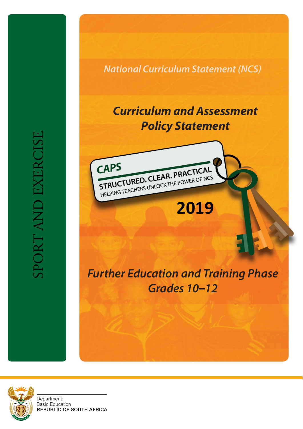*National Curriculum Statement (NCS)*

# *Curriculum and Assessment Policy Statement*



# *Further Education and Training Phase Grades 10–12*



Department: **Basic Education REPUBLIC OF SOUTH AFRICA** 

SPORT AND EXERCISE SPORT AND EXERCISE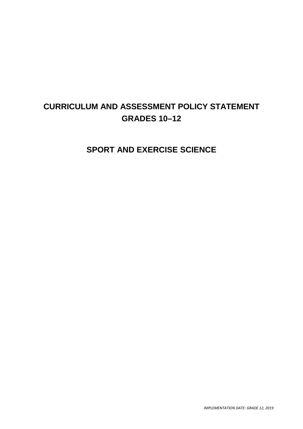## **CURRICULUM AND ASSESSMENT POLICY STATEMENT GRADES 10–12**

**SPORT AND EXERCISE SCIENCE**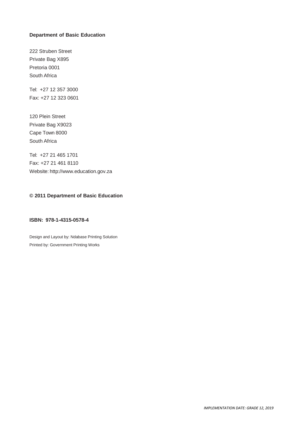#### **Department of Basic Education**

222 Struben Street Private Bag X895 Pretoria 0001 South Africa

Tel: +27 12 357 3000 Fax: +27 12 323 0601

120 Plein Street Private Bag X9023 Cape Town 8000 South Africa

Tel: +27 21 465 1701 Fax: +27 21 461 8110 Website: [http://www.education.gov.za](http://www.education.gov.za/)

#### **© 2011 Department of Basic Education**

#### **ISBN: 978-1-4315-0578-4**

Design and Layout by: Ndabase Printing Solution Printed by: Government Printing Works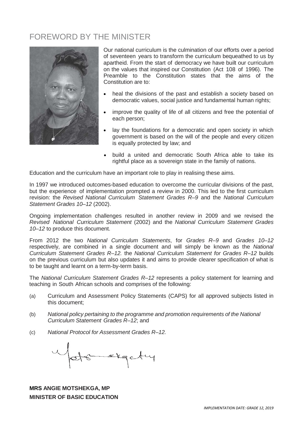## FOREWORD BY THE MINISTER



Our national curriculum is the culmination of our efforts over a period of seventeen years to transform the curriculum bequeathed to us by apartheid. From the start of democracy we have built our curriculum on the values that inspired our Constitution (Act 108 of 1996). The Preamble to the Constitution states that the aims of the Constitution are to:

- heal the divisions of the past and establish a society based on democratic values, social justice and fundamental human rights;
- improve the quality of life of all citizens and free the potential of each person;
- lay the foundations for a democratic and open society in which government is based on the will of the people and every citizen is equally protected by law; and
- build a united and democratic South Africa able to take its rightful place as a sovereign state in the family of nations.

Education and the curriculum have an important role to play in realising these aims.

In 1997 we introduced outcomes-based education to overcome the curricular divisions of the past, but the experience of implementation prompted a review in 2000. This led to the first curriculum revision: the *Revised National Curriculum Statement Grades R–9* and the *National Curriculum Statement Grades 10–12* (2002).

Ongoing implementation challenges resulted in another review in 2009 and we revised the *Revised National Curriculum Statement* (2002) and the *National Curriculum Statement Grades 10–12* to produce this document.

From 2012 the two *National Curriculum Statements*, for *Grades R–9* and *Grades 10–12* respectively, are combined in a single document and will simply be known as the *National Curriculum Statement Grades R–12.* the *National Curriculum Statement for Grades R–12* builds on the previous curriculum but also updates it and aims to provide clearer specification of what is to be taught and learnt on a term-by-term basis.

The *National Curriculum Statement Grades R–12* represents a policy statement for learning and teaching in South African schools and comprises of the following:

- (a) Curriculum and Assessment Policy Statements (CAPS) for all approved subjects listed in this document;
- (b) *National policy pertaining to the programme and promotion requirements of the National Curriculum Statement Grades R–12*; and
- (c) *National Protocol for Assessment Grades R–12.*

Gotsmakgety

## **MRS ANGIE MOTSHEKGA, MP MINISTER OF BASIC EDUCATION**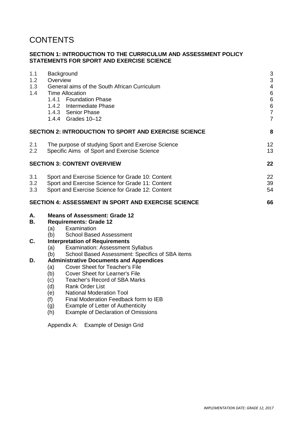## **CONTENTS**

#### **SECTION 1: INTRODUCTION TO THE CURRICULUM AND ASSESSMENT POLICY STATEMENTS FOR SPORT AND EXERCISE SCIENCE**

| 1.1<br>1.2<br>1.3<br>1.4       | Background<br>Overview<br>General aims of the South African Curriculum<br><b>Time Allocation</b><br>1.4.1 Foundation Phase<br>1.4.2 Intermediate Phase<br>1.4.3 Senior Phase<br>1.4.4 Grades 10-12                                                                | $\ensuremath{\mathsf{3}}$<br>$\mathsf 3$<br>$\overline{4}$<br>$\,6$<br>$\,6\,$<br>$\frac{6}{7}$<br>$\overline{7}$ |  |  |
|--------------------------------|-------------------------------------------------------------------------------------------------------------------------------------------------------------------------------------------------------------------------------------------------------------------|-------------------------------------------------------------------------------------------------------------------|--|--|
|                                | SECTION 2: INTRODUCTION TO SPORT AND EXERCISE SCIENCE                                                                                                                                                                                                             | 8                                                                                                                 |  |  |
| 2.1<br>$2.2\,$                 | The purpose of studying Sport and Exercise Science<br>Specific Aims of Sport and Exercise Science                                                                                                                                                                 | 12<br>13                                                                                                          |  |  |
|                                | <b>SECTION 3: CONTENT OVERVIEW</b>                                                                                                                                                                                                                                | 22                                                                                                                |  |  |
| 3.1<br>3.2<br>3.3 <sub>2</sub> | Sport and Exercise Science for Grade 10: Content<br>Sport and Exercise Science for Grade 11: Content<br>Sport and Exercise Science for Grade 12: Content                                                                                                          |                                                                                                                   |  |  |
|                                | SECTION 4: ASSESSMENT IN SPORT AND EXERCISE SCIENCE                                                                                                                                                                                                               | 66                                                                                                                |  |  |
| А.<br>В.                       | <b>Means of Assessment: Grade 12</b><br><b>Requirements: Grade 12</b><br>Examination<br>(a)<br><b>School Based Assessment</b>                                                                                                                                     |                                                                                                                   |  |  |
| C.                             | (b)<br><b>Interpretation of Requirements</b><br><b>Examination: Assessment Syllabus</b><br>(a)<br>School Based Assessment: Specifics of SBA items<br>(b)                                                                                                          |                                                                                                                   |  |  |
| D.                             | <b>Administrative Documents and Appendices</b><br><b>Cover Sheet for Teacher's File</b><br>(a)<br>Cover Sheet for Learner's File<br>(b)<br><b>Teacher's Record of SBA Marks</b><br>(c)<br>(d)<br><b>Rank Order List</b><br><b>National Moderation Tool</b><br>(e) |                                                                                                                   |  |  |

- (f) Final Moderation Feedback form to IEB<br>(g) Example of Letter of Authenticity
- 
- (g) Example of Letter of Authenticity<br>(h) Example of Declaration of Omiss Example of Declaration of Omissions

Appendix A: Example of Design Grid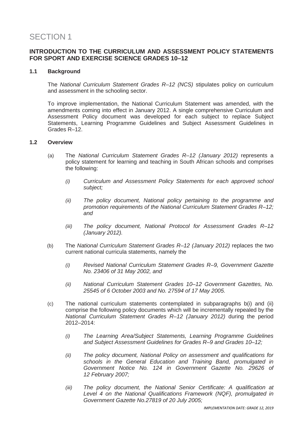## SECTION 1

## **INTRODUCTION TO THE CURRICULUM AND ASSESSMENT POLICY STATEMENTS FOR SPORT AND EXERCISE SCIENCE GRADES 10–12**

#### **1.1 Background**

The *National Curriculum Statement Grades R–12 (NCS)* stipulates policy on curriculum and assessment in the schooling sector.

To improve implementation, the National Curriculum Statement was amended, with the amendments coming into effect in January 2012. A single comprehensive Curriculum and Assessment Policy document was developed for each subject to replace Subject Statements, Learning Programme Guidelines and Subject Assessment Guidelines in Grades R–12.

#### **1.2 Overview**

- (a) The *National Curriculum Statement Grades R–12 (January 2012)* represents a policy statement for learning and teaching in South African schools and comprises the following:
	- *(i) Curriculum and Assessment Policy Statements for each approved school subject;*
	- *(ii) The policy document, National policy pertaining to the programme and promotion requirements of the National Curriculum Statement Grades R–12; and*
	- *(iii) The policy document, National Protocol for Assessment Grades R–12 (January 2012).*
- (b) The *National Curriculum Statement Grades R–12 (January 2012)* replaces the two current national curricula statements, namely the
	- *(i) Revised National Curriculum Statement Grades R–9, Government Gazette No. 23406 of 31 May 2002, and*
	- *(ii) National Curriculum Statement Grades 10–12 Government Gazettes, No. 25545 of 6 October 2003 and No. 27594 of 17 May 2005.*
- (c) The national curriculum statements contemplated in subparagraphs b(i) and (ii) comprise the following policy documents which will be incrementally repealed by the *National Curriculum Statement Grades R–12 (January 2012)* during the period 2012–2014:
	- *(i) The Learning Area/Subject Statements, Learning Programme Guidelines and Subject Assessment Guidelines for Grades R–9 and Grades 10–12;*
	- *(ii) The policy document, National Policy on assessment and qualifications for schools in the General Education and Training Band, promulgated in Government Notice No. 124 in Government Gazette No. 29626 of 12 February 2007;*
	- *(iii) The policy document, the National Senior Certificate: A qualification at Level 4 on the National Qualifications Framework (NQF), promulgated in Government Gazette No.27819 of 20 July 2005;*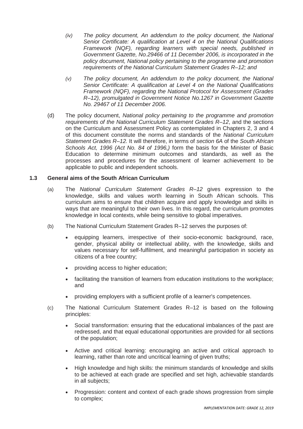- *(iv) The policy document, An addendum to the policy document, the National Senior Certificate: A qualification at Level 4 on the National Qualifications Framework (NQF), regarding learners with special needs, published in Government Gazette, No.29466 of 11 December 2006, is incorporated in the policy document, National policy pertaining to the programme and promotion requirements of the National Curriculum Statement Grades R–12; and*
- *(v) The policy document, An addendum to the policy document, the National Senior Certificate: A qualification at Level 4 on the National Qualifications Framework (NQF), regarding the National Protocol for Assessment (Grades R–12), promulgated in Government Notice No.1267 in Government Gazette No. 29467 of 11 December 2006.*
- (d) The policy document, *National policy pertaining to the programme and promotion requirements of the National Curriculum Statement Grades R–12*, and the sections on the Curriculum and Assessment Policy as contemplated in Chapters 2, 3 and 4 of this document constitute the norms and standards of the *National Curriculum Statement Grades R–12.* It will therefore, in terms of *section 6A* of the *South African Schools Act, 1996 (Act No. 84 of 1996,)* form the basis for the Minister of Basic Education to determine minimum outcomes and standards, as well as the processes and procedures for the assessment of learner achievement to be applicable to public and independent schools.

#### **1.3 General aims of the South African Curriculum**

- (a) The *National Curriculum Statement Grades R–12* gives expression to the knowledge, skills and values worth learning in South African schools. This curriculum aims to ensure that children acquire and apply knowledge and skills in ways that are meaningful to their own lives. In this regard, the curriculum promotes knowledge in local contexts, while being sensitive to global imperatives.
- (b) The National Curriculum Statement Grades R–12 serves the purposes of:
	- equipping learners, irrespective of their socio-economic background, race, gender, physical ability or intellectual ability, with the knowledge, skills and values necessary for self-fulfilment, and meaningful participation in society as citizens of a free country;
	- providing access to higher education;
	- facilitating the transition of learners from education institutions to the workplace; and
	- providing employers with a sufficient profile of a learner's competences.
- (c) The National Curriculum Statement Grades R–12 is based on the following principles:
	- Social transformation: ensuring that the educational imbalances of the past are redressed, and that equal educational opportunities are provided for all sections of the population;
	- Active and critical learning: encouraging an active and critical approach to learning, rather than rote and uncritical learning of given truths;
	- High knowledge and high skills: the minimum standards of knowledge and skills to be achieved at each grade are specified and set high, achievable standards in all subjects;
	- Progression: content and context of each grade shows progression from simple to complex;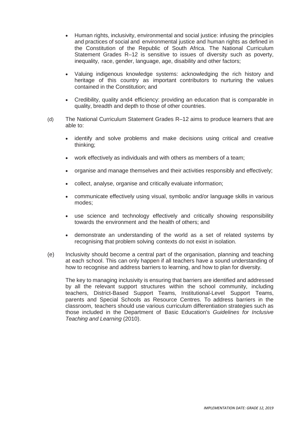- Human rights, inclusivity, environmental and social justice: infusing the principles and practices of social and environmental justice and human rights as defined in the Constitution of the Republic of South Africa. The National Curriculum Statement Grades R–12 is sensitive to issues of diversity such as poverty, inequality, race, gender, language, age, disability and other factors;
- Valuing indigenous knowledge systems: acknowledging the rich history and heritage of this country as important contributors to nurturing the values contained in the Constitution; and
- Credibility, quality and4 efficiency: providing an education that is comparable in quality, breadth and depth to those of other countries.
- (d) The National Curriculum Statement Grades R–12 aims to produce learners that are able to:
	- identify and solve problems and make decisions using critical and creative thinking;
	- work effectively as individuals and with others as members of a team;
	- organise and manage themselves and their activities responsibly and effectively;
	- collect, analyse, organise and critically evaluate information;
	- communicate effectively using visual, symbolic and/or language skills in various modes;
	- use science and technology effectively and critically showing responsibility towards the environment and the health of others; and
	- demonstrate an understanding of the world as a set of related systems by recognising that problem solving contexts do not exist in isolation.
- (e) Inclusivity should become a central part of the organisation, planning and teaching at each school. This can only happen if all teachers have a sound understanding of how to recognise and address barriers to learning, and how to plan for diversity.

The key to managing inclusivity is ensuring that barriers are identified and addressed by all the relevant support structures within the school community, including teachers, District-Based Support Teams, Institutional-Level Support Teams, parents and Special Schools as Resource Centres. To address barriers in the classroom, teachers should use various curriculum differentiation strategies such as those included in the Department of Basic Education's *Guidelines for Inclusive Teaching and Learning* (2010).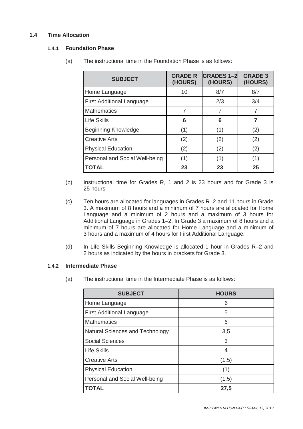## **1.4 Time Allocation**

#### **1.4.1 Foundation Phase**

| <b>SUBJECT</b>                   | <b>GRADE R</b><br>(HOURS) | <b>GRADES 1-2</b><br>(HOURS) | <b>GRADE 3</b><br>(HOURS) |
|----------------------------------|---------------------------|------------------------------|---------------------------|
| Home Language                    | 10                        | 8/7                          | 8/7                       |
| <b>First Additional Language</b> |                           | 2/3                          | 3/4                       |
| <b>Mathematics</b>               | 7                         | 7                            | 7                         |
| <b>Life Skills</b>               | 6                         | 6                            | 7                         |
| <b>Beginning Knowledge</b>       | (1)                       | (1)                          | (2)                       |
| <b>Creative Arts</b>             | (2)                       | (2)                          | (2)                       |
| <b>Physical Education</b>        | (2)                       | (2)                          | (2)                       |
| Personal and Social Well-being   | (1)                       | (1)                          | (1)                       |
| <b>TOTAL</b>                     | 23                        | 23                           | 25                        |

(a) The instructional time in the Foundation Phase is as follows:

- (b) Instructional time for Grades R, 1 and 2 is 23 hours and for Grade 3 is 25 hours.
- (c) Ten hours are allocated for languages in Grades R–2 and 11 hours in Grade 3. A maximum of 8 hours and a minimum of 7 hours are allocated for Home Language and a minimum of 2 hours and a maximum of 3 hours for Additional Language in Grades 1–2. In Grade 3 a maximum of 8 hours and a minimum of 7 hours are allocated for Home Language and a minimum of 3 hours and a maximum of 4 hours for First Additional Language.
- (d) In Life Skills Beginning Knowledge is allocated 1 hour in Grades R–2 and 2 hours as indicated by the hours in brackets for Grade 3.

## **1.4.2 Intermediate Phase**

(a) The instructional time in the Intermediate Phase is as follows:

| <b>SUBJECT</b>                   | <b>HOURS</b> |
|----------------------------------|--------------|
| Home Language                    | 6            |
| <b>First Additional Language</b> | 5            |
| <b>Mathematics</b>               | 6            |
| Natural Sciences and Technology  | 3,5          |
| <b>Social Sciences</b>           | 3            |
| <b>Life Skills</b>               | 4            |
| <b>Creative Arts</b>             | (1,5)        |
| <b>Physical Education</b>        | (1)          |
| Personal and Social Well-being   | (1,5)        |
| TOTAL                            | 27,5         |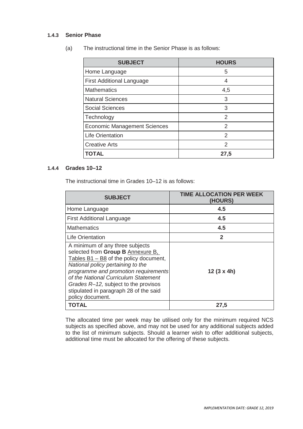#### **1.4.3 Senior Phase**

(a) The instructional time in the Senior Phase is as follows:

| <b>SUBJECT</b>                      | <b>HOURS</b>  |
|-------------------------------------|---------------|
| Home Language                       | 5             |
| <b>First Additional Language</b>    | 4             |
| <b>Mathematics</b>                  | 4,5           |
| <b>Natural Sciences</b>             | 3             |
| <b>Social Sciences</b>              | 3             |
| Technology                          | $\mathcal{P}$ |
| <b>Economic Management Sciences</b> | 2             |
| <b>Life Orientation</b>             | 2             |
| <b>Creative Arts</b>                | $\mathcal{P}$ |
| TOTAL                               | 27,5          |

#### **1.4.4 Grades 10–12**

The instructional time in Grades 10–12 is as follows:

| <b>SUBJECT</b>                                                                                                                                                                                                                                                                                                                              | TIME ALLOCATION PER WEEK<br>(HOURS) |
|---------------------------------------------------------------------------------------------------------------------------------------------------------------------------------------------------------------------------------------------------------------------------------------------------------------------------------------------|-------------------------------------|
| Home Language                                                                                                                                                                                                                                                                                                                               | 4.5                                 |
| <b>First Additional Language</b>                                                                                                                                                                                                                                                                                                            | 4.5                                 |
| <b>Mathematics</b>                                                                                                                                                                                                                                                                                                                          | 4.5                                 |
| <b>Life Orientation</b>                                                                                                                                                                                                                                                                                                                     | $\mathbf 2$                         |
| A minimum of any three subjects<br>selected from Group B Annexure B,<br>Tables $B1 - B8$ of the policy document,<br>National policy pertaining to the<br>programme and promotion requirements<br>of the National Curriculum Statement<br>Grades R-12, subject to the provisos<br>stipulated in paragraph 28 of the said<br>policy document. | 12 $(3 \times 4h)$                  |
| TOTAL                                                                                                                                                                                                                                                                                                                                       | 27,5                                |

The allocated time per week may be utilised only for the minimum required NCS subjects as specified above, and may not be used for any additional subjects added to the list of minimum subjects. Should a learner wish to offer additional subjects, additional time must be allocated for the offering of these subjects.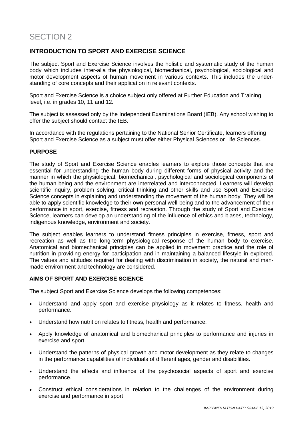## **INTRODUCTION TO SPORT AND EXERCISE SCIENCE**

The subject Sport and Exercise Science involves the holistic and systematic study of the human body which includes inter-alia the physiological, biomechanical, psychological, sociological and motor development aspects of human movement in various contexts. This includes the understanding of core concepts and their application in relevant contexts.

Sport and Exercise Science is a choice subject only offered at Further Education and Training level, i.e. in grades 10, 11 and 12.

The subject is assessed only by the Independent Examinations Board (IEB). Any school wishing to offer the subject should contact the IEB.

In accordance with the regulations pertaining to the National Senior Certificate, learners offering Sport and Exercise Science as a subject must offer either Physical Sciences or Life Sciences.

#### **PURPOSE**

The study of Sport and Exercise Science enables learners to explore those concepts that are essential for understanding the human body during different forms of physical activity and the manner in which the physiological, biomechanical, psychological and sociological components of the human being and the environment are interrelated and interconnected. Learners will develop scientific inquiry, problem solving, critical thinking and other skills and use Sport and Exercise Science concepts in explaining and understanding the movement of the human body. They will be able to apply scientific knowledge to their own personal well-being and to the advancement of their performance in sport, exercise, fitness and recreation. Through the study of Sport and Exercise Science, learners can develop an understanding of the influence of ethics and biases, technology, indigenous knowledge, environment and society.

The subject enables learners to understand fitness principles in exercise, fitness, sport and recreation as well as the long-term physiological response of the human body to exercise. Anatomical and biomechanical principles can be applied in movement practice and the role of nutrition in providing energy for participation and in maintaining a balanced lifestyle in explored. The values and attitudes required for dealing with discrimination in society, the natural and manmade environment and technology are considered.

#### **AIMS OF SPORT AND EXERCISE SCIENCE**

The subject Sport and Exercise Science develops the following competences:

- Understand and apply sport and exercise physiology as it relates to fitness, health and performance.
- Understand how nutrition relates to fitness, health and performance.
- Apply knowledge of anatomical and biomechanical principles to performance and injuries in exercise and sport.
- Understand the patterns of physical growth and motor development as they relate to changes in the performance capabilities of individuals of different ages, gender and disabilities.
- Understand the effects and influence of the psychosocial aspects of sport and exercise performance.
- Construct ethical considerations in relation to the challenges of the environment during exercise and performance in sport.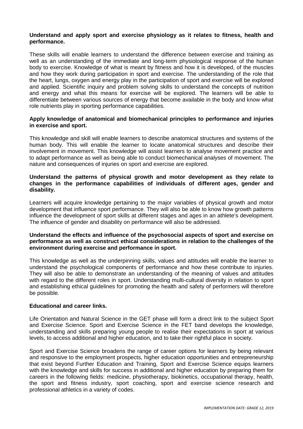#### **Understand and apply sport and exercise physiology as it relates to fitness, health and performance.**

These skills will enable learners to understand the difference between exercise and training as well as an understanding of the immediate and long-term physiological response of the human body to exercise. Knowledge of what is meant by fitness and how it is developed, of the muscles and how they work during participation in sport and exercise. The understanding of the role that the heart, lungs, oxygen and energy play in the participation of sport and exercise will be explored and applied. Scientific inquiry and problem solving skills to understand the concepts of nutrition and energy and what this means for exercise will be explored. The learners will be able to differentiate between various sources of energy that become available in the body and know what role nutrients play in sporting performance capabilities.

#### **Apply knowledge of anatomical and biomechanical principles to performance and injuries in exercise and sport.**

This knowledge and skill will enable learners to describe anatomical structures and systems of the human body. This will enable the learner to locate anatomical structures and describe their involvement in movement. This knowledge will assist learners to analyse movement practice and to adapt performance as well as being able to conduct biomechanical analyses of movement. The nature and consequences of injuries on sport and exercise are explored.

#### **Understand the patterns of physical growth and motor development as they relate to changes in the performance capabilities of individuals of different ages, gender and disability.**

Learners will acquire knowledge pertaining to the major variables of physical growth and motor development that influence sport performance. They will also be able to know how growth patterns influence the development of sport skills at different stages and ages in an athlete's development. The influence of gender and disability on performance will also be addressed.

#### **Understand the effects and influence of the psychosocial aspects of sport and exercise on performance as well as construct ethical considerations in relation to the challenges of the environment during exercise and performance in sport.**

This knowledge as well as the underpinning skills, values and attitudes will enable the learner to understand the psychological components of performance and how these contribute to injuries. They will also be able to demonstrate an understanding of the meaning of values and attitudes with regard to the different roles in sport. Understanding multi-cultural diversity in relation to sport and establishing ethical guidelines for promoting the health and safety of performers will therefore be possible.

#### **Educational and career links.**

Life Orientation and Natural Science in the GET phase will form a direct link to the subject Sport and Exercise Science. Sport and Exercise Science in the FET band develops the knowledge, understanding and skills preparing young people to realise their expectations in sport at various levels, to access additional and higher education, and to take their rightful place in society.

Sport and Exercise Science broadens the range of career options for learners by being relevant and responsive to the employment prospects, higher education opportunities and entrepreneurship that exist beyond Further Education and Training, Sport and Exercise Science equips learners with the knowledge and skills for success in additional and higher education by preparing them for careers in the following fields: medicine, physiotherapy, biokinetics, occupational therapy, health, the sport and fitness industry, sport coaching, sport and exercise science research and professional athletics in a variety of codes.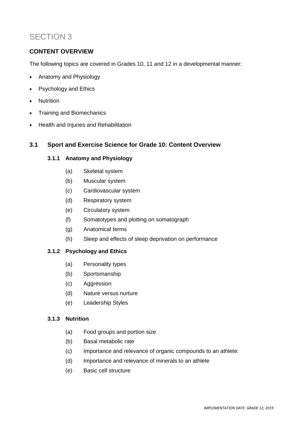## SECTION 3

## **CONTENT OVERVIEW**

The following topics are covered in Grades 10, 11 and 12 in a developmental manner:

- Anatomy and Physiology
- Psychology and Ethics
- Nutrition
- Training and Biomechanics
- Health and Injuries and Rehabilitation

## **3.1 Sport and Exercise Science for Grade 10: Content Overview**

## **3.1.1 Anatomy and Physiology**

- (a) Skeletal system
- (b) Muscular system
- (c) Cardiovascular system
- (d) Respiratory system
- (e) Circulatory system
- (f) Somatotypes and plotting on somatograph
- (g) Anatomical terms
- (h) Sleep and effects of sleep deprivation on performance

#### **3.1.2 Psychology and Ethics**

- (a) Personality types
- (b) Sportsmanship
- (c) Aggression
- (d) Nature versus nurture
- (e) Leadership Styles

#### **3.1.3 Nutrition**

- (a) Food groups and portion size
- (b) Basal metabolic rate
- (c) Importance and relevance of organic compounds to an athlete:
- (d) Importance and relevance of minerals to an athlete
- (e) Basic cell structure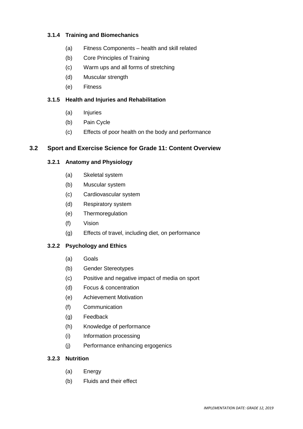## **3.1.4 Training and Biomechanics**

- (a) Fitness Components health and skill related
- (b) Core Principles of Training
- (c) Warm ups and all forms of stretching
- (d) Muscular strength
- (e) Fitness

#### **3.1.5 Health and Injuries and Rehabilitation**

- (a) Injuries
- (b) Pain Cycle
- (c) Effects of poor health on the body and performance

## **3.2 Sport and Exercise Science for Grade 11: Content Overview**

#### **3.2.1 Anatomy and Physiology**

- (a) Skeletal system
- (b) Muscular system
- (c) Cardiovascular system
- (d) Respiratory system
- (e) Thermoregulation
- (f) Vision
- (g) Effects of travel, including diet, on performance

#### **3.2.2 Psychology and Ethics**

- (a) Goals
- (b) Gender Stereotypes
- (c) Positive and negative impact of media on sport
- (d) Focus & concentration
- (e) Achievement Motivation
- (f) Communication
- (g) Feedback
- (h) Knowledge of performance
- (i) Information processing
- (j) Performance enhancing ergogenics

#### **3.2.3 Nutrition**

- (a) Energy
- (b) Fluids and their effect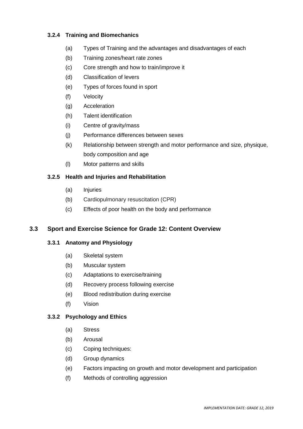## **3.2.4 Training and Biomechanics**

- (a) Types of Training and the advantages and disadvantages of each
- (b) Training zones/heart rate zones
- (c) Core strength and how to train/improve it
- (d) Classification of levers
- (e) Types of forces found in sport
- (f) Velocity
- (g) Acceleration
- (h) Talent identification
- (i) Centre of gravity/mass
- (j) Performance differences between sexes
- (k) Relationship between strength and motor performance and size, physique, body composition and age
- (l) Motor patterns and skills

## **3.2.5 Health and Injuries and Rehabilitation**

- (a) Injuries
- (b) Cardiopulmonary resuscitation (CPR)
- (c) Effects of poor health on the body and performance

## **3.3 Sport and Exercise Science for Grade 12: Content Overview**

#### **3.3.1 Anatomy and Physiology**

- (a) Skeletal system
- (b) Muscular system
- (c) Adaptations to exercise/training
- (d) Recovery process following exercise
- (e) Blood redistribution during exercise
- (f) Vision

#### **3.3.2 Psychology and Ethics**

- (a) Stress
- (b) Arousal
- (c) Coping techniques:
- (d) Group dynamics
- (e) Factors impacting on growth and motor development and participation
- (f) Methods of controlling aggression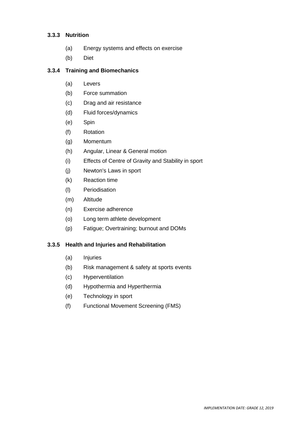#### **3.3.3 Nutrition**

- (a) Energy systems and effects on exercise
- (b) Diet

#### **3.3.4 Training and Biomechanics**

- (a) Levers
- (b) Force summation
- (c) Drag and air resistance
- (d) Fluid forces/dynamics
- (e) Spin
- (f) Rotation
- (g) Momentum
- (h) Angular, Linear & General motion
- (i) Effects of Centre of Gravity and Stability in sport
- (j) Newton's Laws in sport
- (k) Reaction time
- (l) Periodisation
- (m) Altitude
- (n) Exercise adherence
- (o) Long term athlete development
- (p) Fatigue; Overtraining; burnout and DOMs

## **3.3.5 Health and Injuries and Rehabilitation**

- (a) Injuries
- (b) Risk management & safety at sports events
- (c) Hyperventilation
- (d) Hypothermia and Hyperthermia
- (e) Technology in sport
- (f) Functional Movement Screening (FMS)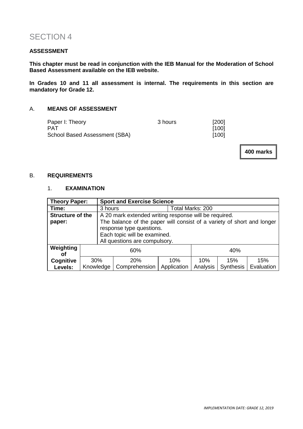## SECTION 4

#### **ASSESSMENT**

**This chapter must be read in conjunction with the IEB Manual for the Moderation of School Based Assessment available on the IEB website.**

**In Grades 10 and 11 all assessment is internal. The requirements in this section are mandatory for Grade 12.**

#### A. **MEANS OF ASSESSMENT**

| Paper I: Theory               | 3 hours | $[200]$ |
|-------------------------------|---------|---------|
| <b>PAT</b>                    |         | [100]   |
| School Based Assessment (SBA) |         | $[100]$ |

**400 marks**

#### B. **REQUIREMENTS**

## 1. **EXAMINATION**

| <b>Theory Paper:</b>    |           |                                                                        |                             | <b>Sport and Exercise Science</b> |          |           |            |
|-------------------------|-----------|------------------------------------------------------------------------|-----------------------------|-----------------------------------|----------|-----------|------------|
| Time:                   |           |                                                                        | Total Marks: 200<br>3 hours |                                   |          |           |            |
| <b>Structure of the</b> |           | A 20 mark extended writing response will be required.                  |                             |                                   |          |           |            |
| paper:                  |           | The balance of the paper will consist of a variety of short and longer |                             |                                   |          |           |            |
|                         |           | response type questions.                                               |                             |                                   |          |           |            |
|                         |           | Each topic will be examined.                                           |                             |                                   |          |           |            |
|                         |           | All questions are compulsory.                                          |                             |                                   |          |           |            |
| Weighting               |           | 60%                                                                    |                             |                                   | 40%      |           |            |
| οf                      |           |                                                                        |                             |                                   |          |           |            |
| Cognitive               | 30%       |                                                                        | 20%                         | 10%                               | 10%      | 15%       | 15%        |
| Levels:                 | Knowledge |                                                                        | Comprehension               | Application                       | Analysis | Synthesis | Evaluation |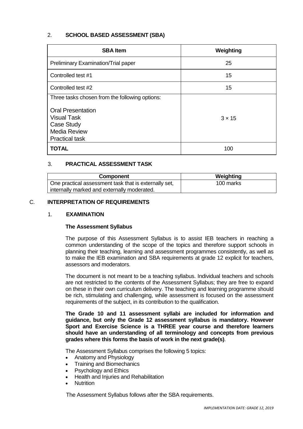## 2. **SCHOOL BASED ASSESSMENT (SBA)**

| <b>SBA Item</b>                                | Weighting     |
|------------------------------------------------|---------------|
| Preliminary Examination/Trial paper            | 25            |
| Controlled test #1                             | 15            |
| Controlled test #2                             | 15            |
| Three tasks chosen from the following options: |               |
| <b>Oral Presentation</b>                       |               |
| <b>Visual Task</b>                             | $3 \times 15$ |
| Case Study                                     |               |
| <b>Media Review</b>                            |               |
| <b>Practical task</b>                          |               |
| <b>TOTAL</b>                                   | 100           |

## 3. **PRACTICAL ASSESSMENT TASK**

| Component                                             | Weighting |
|-------------------------------------------------------|-----------|
| One practical assessment task that is externally set, | 100 marks |
| internally marked and externally moderated.           |           |

#### C. **INTERPRETATION OF REQUIREMENTS**

#### 1. **EXAMINATION**

#### **The Assessment Syllabus**

The purpose of this Assessment Syllabus is to assist IEB teachers in reaching a common understanding of the scope of the topics and therefore support schools in planning their teaching, learning and assessment programmes consistently, as well as to make the IEB examination and SBA requirements at grade 12 explicit for teachers, assessors and moderators.

The document is not meant to be a teaching syllabus. Individual teachers and schools are not restricted to the contents of the Assessment Syllabus; they are free to expand on these in their own curriculum delivery. The teaching and learning programme should be rich, stimulating and challenging, while assessment is focused on the assessment requirements of the subject, in its contribution to the qualification.

**The Grade 10 and 11 assessment syllabi are included for information and guidance, but only the Grade 12 assessment syllabus is mandatory. However Sport and Exercise Science is a THREE year course and therefore learners should have an understanding of all terminology and concepts from previous grades where this forms the basis of work in the next grade(s)**.

The Assessment Syllabus comprises the following 5 topics:

- Anatomy and Physiology
- Training and Biomechanics
- Psychology and Ethics
- Health and Injuries and Rehabilitation
- **Nutrition**

The Assessment Syllabus follows after the SBA requirements.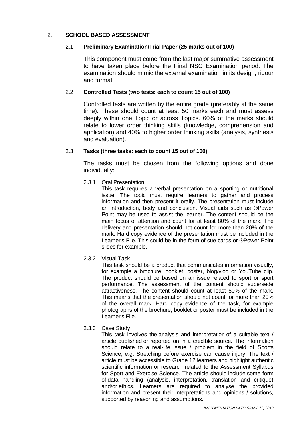#### 2. **SCHOOL BASED ASSESSMENT**

#### 2.1 **Preliminary Examination/Trial Paper (25 marks out of 100)**

This component must come from the last major summative assessment to have taken place before the Final NSC Examination period. The examination should mimic the external examination in its design, rigour and format.

## 2.2 **Controlled Tests (two tests: each to count 15 out of 100)**

Controlled tests are written by the entire grade (preferably at the same time). These should count at least 50 marks each and must assess deeply within one Topic or across Topics. 60% of the marks should relate to lower order thinking skills (knowledge, comprehension and application) and 40% to higher order thinking skills (analysis, synthesis and evaluation).

#### 2.3 **Tasks (three tasks: each to count 15 out of 100)**

The tasks must be chosen from the following options and done individually:

## 2.3.1 Oral Presentation

This task requires a verbal presentation on a sporting or nutritional issue. The topic must require learners to gather and process information and then present it orally. The presentation must include an introduction, body and conclusion. Visual aids such as ®Power Point may be used to assist the learner. The content should be the main focus of attention and count for at least 80% of the mark. The delivery and presentation should not count for more than 20% of the mark. Hard copy evidence of the presentation must be included in the Learner's File. This could be in the form of cue cards or ®Power Point slides for example.

#### 2.3.2 Visual Task

This task should be a product that communicates information visually, for example a brochure, booklet, poster, blog/vlog or YouTube clip. The product should be based on an issue related to sport or sport performance. The assessment of the content should supersede attractiveness. The content should count at least 80% of the mark. This means that the presentation should not count for more than 20% of the overall mark. Hard copy evidence of the task, for example photographs of the brochure, booklet or poster must be included in the Learner's File.

#### 2.3.3 Case Study

This task involves the analysis and interpretation of a suitable text / article published or reported on in a credible source. The information should relate to a real-life issue / problem in the field of Sports Science, e.g. Stretching before exercise can cause injury. The text / article must be accessible to Grade 12 learners and highlight authentic scientific information or research related to the Assessment Syllabus for Sport and Exercise Science. The article should include some form of data handling (analysis, interpretation, translation and critique) and/or ethics. Learners are required to analyse the provided information and present their interpretations and opinions / solutions, supported by reasoning and assumptions.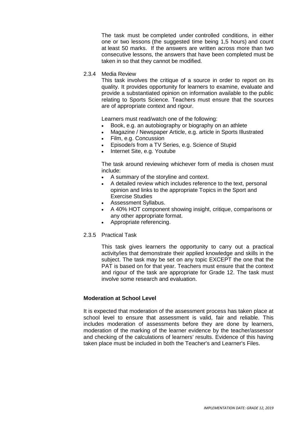The task must be completed under controlled conditions, in either one or two lessons (the suggested time being 1,5 hours) and count at least 50 marks. If the answers are written across more than two consecutive lessons, the answers that have been completed must be taken in so that they cannot be modified.

2.3.4 Media Review

This task involves the critique of a source in order to report on its quality. It provides opportunity for learners to examine, evaluate and provide a substantiated opinion on information available to the public relating to Sports Science. Teachers must ensure that the sources are of appropriate context and rigour.

Learners must read/watch one of the following:

- Book, e.g. an autobiography or biography on an athlete
- Magazine / Newspaper Article, e.g. article in Sports Illustrated
- Film, e.g. Concussion
- Episode/s from a TV Series, e.g. Science of Stupid
- Internet Site, e.g. Youtube

The task around reviewing whichever form of media is chosen must include:

- A summary of the storyline and context.
- A detailed review which includes reference to the text, personal opinion and links to the appropriate Topics in the Sport and Exercise Studies
- Assessment Syllabus.
- A 40% HOT component showing insight, critique, comparisons or any other appropriate format.
- Appropriate referencing.
- 2.3.5 Practical Task

This task gives learners the opportunity to carry out a practical activity/ies that demonstrate their applied knowledge and skills in the subject. The task may be set on any topic EXCEPT the one that the PAT is based on for that year. Teachers must ensure that the context and rigour of the task are appropriate for Grade 12. The task must involve some research and evaluation.

#### **Moderation at School Level**

It is expected that moderation of the assessment process has taken place at school level to ensure that assessment is valid, fair and reliable. This includes moderation of assessments before they are done by learners, moderation of the marking of the learner evidence by the teacher/assessor and checking of the calculations of learners' results. Evidence of this having taken place must be included in both the Teacher's and Learner's Files.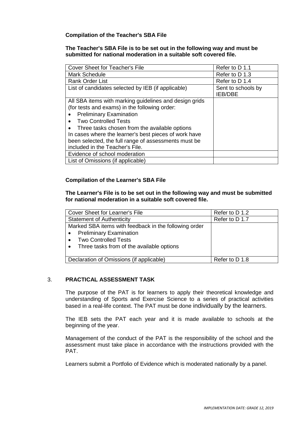#### **Compilation of the Teacher's SBA File**

#### **The Teacher's SBA File is to be set out in the following way and must be submitted for national moderation in a suitable soft covered file.**

| <b>Cover Sheet for Teacher's File</b>                  | Refer to D 1.1                       |
|--------------------------------------------------------|--------------------------------------|
| <b>Mark Schedule</b>                                   | Refer to D 1.3                       |
| <b>Rank Order List</b>                                 | Refer to D 1.4                       |
| List of candidates selected by IEB (if applicable)     | Sent to schools by<br><b>IEB/DBE</b> |
| All SBA items with marking guidelines and design grids |                                      |
| (for tests and exams) in the following order:          |                                      |
| <b>Preliminary Examination</b>                         |                                      |
| <b>Two Controlled Tests</b>                            |                                      |
| Three tasks chosen from the available options          |                                      |
| In cases where the learner's best pieces of work have  |                                      |
| been selected, the full range of assessments must be   |                                      |
| included in the Teacher's File.                        |                                      |
| Evidence of school moderation                          |                                      |
| List of Omissions (if applicable)                      |                                      |

#### **Compilation of the Learner's SBA File**

#### **The Learner's File is to be set out in the following way and must be submitted for national moderation in a suitable soft covered file.**

| Cover Sheet for Learner's File                         | Refer to D 1.2 |
|--------------------------------------------------------|----------------|
| <b>Statement of Authenticity</b>                       | Refer to D 1.7 |
| Marked SBA items with feedback in the following order  |                |
| <b>Preliminary Examination</b><br>$\bullet$            |                |
| <b>Two Controlled Tests</b><br>$\bullet$               |                |
| Three tasks from of the available options<br>$\bullet$ |                |
|                                                        |                |
| Declaration of Omissions (if applicable)               | Refer to D 1.8 |

#### 3. **PRACTICAL ASSESSMENT TASK**

The purpose of the PAT is for learners to apply their theoretical knowledge and understanding of Sports and Exercise Science to a series of practical activities based in a real-life context. The PAT must be done individually by the learners.

The IEB sets the PAT each year and it is made available to schools at the beginning of the year.

Management of the conduct of the PAT is the responsibility of the school and the assessment must take place in accordance with the instructions provided with the PAT.

Learners submit a Portfolio of Evidence which is moderated nationally by a panel.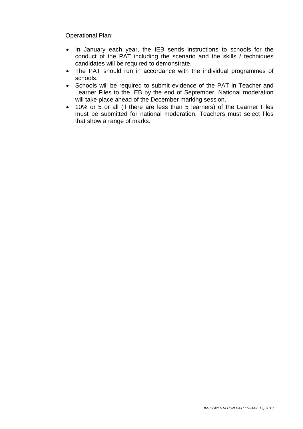Operational Plan:

- In January each year, the IEB sends instructions to schools for the conduct of the PAT including the scenario and the skills / techniques candidates will be required to demonstrate.
- The PAT should run in accordance with the individual programmes of schools.
- Schools will be required to submit evidence of the PAT in Teacher and Learner Files to the IEB by the end of September. National moderation will take place ahead of the December marking session.
- 10% or 5 or all (if there are less than 5 learners) of the Learner Files must be submitted for national moderation. Teachers must select files that show a range of marks.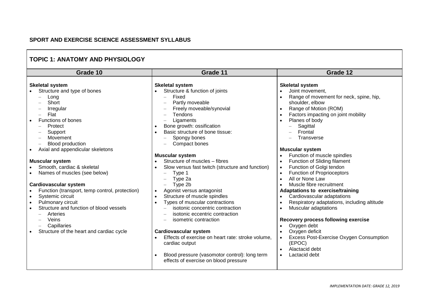## **SPORT AND EXERCISE SCIENCE ASSESSMENT SYLLABUS**

## **TOPIC 1: ANATOMY AND PHYSIOLOGY**

| Grade 10                                                                                                                                                                                                                                                                                                                                   | Grade 11                                                                                                                                                                                                                                                                                                                                                                                                                                                                                                                                                                                                                                                                | Grade 12                                                                                                                                                                                                                                                                                                                                                                                                                                                                                                                                                                                                    |  |  |
|--------------------------------------------------------------------------------------------------------------------------------------------------------------------------------------------------------------------------------------------------------------------------------------------------------------------------------------------|-------------------------------------------------------------------------------------------------------------------------------------------------------------------------------------------------------------------------------------------------------------------------------------------------------------------------------------------------------------------------------------------------------------------------------------------------------------------------------------------------------------------------------------------------------------------------------------------------------------------------------------------------------------------------|-------------------------------------------------------------------------------------------------------------------------------------------------------------------------------------------------------------------------------------------------------------------------------------------------------------------------------------------------------------------------------------------------------------------------------------------------------------------------------------------------------------------------------------------------------------------------------------------------------------|--|--|
| <b>Skeletal system</b><br>Structure and type of bones<br>Long<br>Short<br>Irregular<br>Flat<br>Functions of bones<br>Protect<br>Support<br>Movement<br>Blood production                                                                                                                                                                    | <b>Skeletal system</b><br>Structure & function of joints<br>Fixed<br>$\overline{\phantom{m}}$<br>Partly moveable<br>$\overline{\phantom{0}}$<br>Freely moveable/synovial<br>$\overline{\phantom{0}}$<br><b>Tendons</b><br>Ligaments<br>Bone growth: ossification<br>Basic structure of bone tissue:<br>Spongy bones<br>$\overline{\phantom{m}}$<br>Compact bones                                                                                                                                                                                                                                                                                                        | <b>Skeletal system</b><br>Joint movement,<br>$\bullet$<br>Range of movement for neck, spine, hip,<br>shoulder, elbow<br>Range of Motion (ROM)<br>$\bullet$<br>Factors impacting on joint mobility<br>$\bullet$<br>Planes of body<br>$\bullet$<br>Sagittal<br>Frontal<br>Transverse<br><b>Muscular system</b>                                                                                                                                                                                                                                                                                                |  |  |
| Axial and appendicular skeletons                                                                                                                                                                                                                                                                                                           | <b>Muscular system</b>                                                                                                                                                                                                                                                                                                                                                                                                                                                                                                                                                                                                                                                  | Function of muscle spindles                                                                                                                                                                                                                                                                                                                                                                                                                                                                                                                                                                                 |  |  |
| <b>Muscular system</b><br>Smooth, cardiac & skeletal<br>Names of muscles (see below)<br><b>Cardiovascular system</b><br>Function (transport, temp control, protection)<br>Systemic circuit<br>Pulmonary circuit<br>Structure and function of blood vessels<br>Arteries<br>Veins<br>Capillaries<br>Structure of the heart and cardiac cycle | Structure of muscles - fibres<br>Slow versus fast twitch (structure and function)<br>Type 1<br>$\overline{\phantom{m}}$<br>Type 2a<br>$\overline{\phantom{0}}$<br>Type 2b<br>$\equiv$<br>Agonist versus antagonist<br>Structure of muscle spindles<br>Types of muscular contractions<br>isotonic concentric contraction<br>$\overline{\phantom{0}}$<br>isotonic eccentric contraction<br>$\overline{\phantom{0}}$<br>isometric contraction<br>$\overline{\phantom{m}}$<br><b>Cardiovascular system</b><br>Effects of exercise on heart rate: stroke volume,<br>cardiac output<br>Blood pressure (vasomotor control): long term<br>effects of exercise on blood pressure | Function of Sliding filament<br>$\bullet$<br>Function of Golgi tendon<br>$\bullet$<br><b>Function of Proprioceptors</b><br>$\bullet$<br>All or None Law<br>$\bullet$<br>Muscle fibre recruitment<br><b>Adaptations to exercise/training</b><br>Cardiovascular adaptations<br>$\bullet$<br>Respiratory adaptations, including altitude<br>$\bullet$<br>Muscular adaptations<br>$\bullet$<br>Recovery process following exercise<br>Oxygen debt<br>$\bullet$<br>Oxygen deficit<br>$\bullet$<br>Excess Post-Exercise Oxygen Consumption<br>(EPOC)<br>Alactacid debt<br>$\bullet$<br>Lactacid debt<br>$\bullet$ |  |  |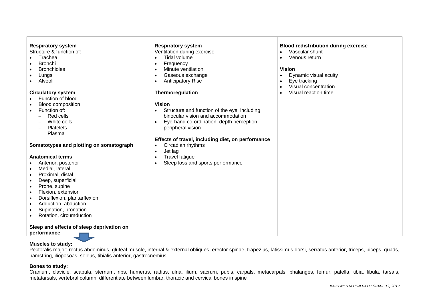| <b>Respiratory system</b>                 | <b>Respiratory system</b>                         | <b>Blood redistribution during exercise</b> |
|-------------------------------------------|---------------------------------------------------|---------------------------------------------|
| Structure & function of:                  | Ventilation during exercise                       | Vascular shunt                              |
| Trachea                                   | Tidal volume                                      | Venous return                               |
| <b>Bronchi</b>                            | Frequency<br>٠                                    |                                             |
| <b>Bronchioles</b><br>$\bullet$           | Minute ventilation<br>$\bullet$                   | <b>Vision</b>                               |
| Lungs                                     | Gaseous exchange<br>$\bullet$                     | Dynamic visual acuity<br>$\bullet$          |
| Alveoli                                   | <b>Anticipatory Rise</b><br>$\bullet$             | Eye tracking<br>$\bullet$                   |
|                                           |                                                   | Visual concentration                        |
| <b>Circulatory system</b>                 | Thermoregulation                                  | Visual reaction time                        |
| Function of blood                         |                                                   |                                             |
| <b>Blood composition</b>                  | <b>Vision</b>                                     |                                             |
| Function of:<br>$\bullet$                 | Structure and function of the eye, including      |                                             |
| Red cells                                 | binocular vision and accommodation                |                                             |
| White cells                               | Eye-hand co-ordination, depth perception,         |                                             |
| Platelets                                 | peripheral vision                                 |                                             |
| Plasma                                    |                                                   |                                             |
|                                           | Effects of travel, including diet, on performance |                                             |
| Somatotypes and plotting on somatograph   | Circadian rhythms                                 |                                             |
|                                           | Jet lag<br>$\bullet$                              |                                             |
| <b>Anatomical terms</b>                   | <b>Travel fatigue</b><br>$\bullet$                |                                             |
| Anterior, posterior                       | Sleep loss and sports performance<br>$\bullet$    |                                             |
| Medial, lateral<br>$\bullet$              |                                                   |                                             |
| Proximal, distal<br>$\bullet$             |                                                   |                                             |
| Deep, superficial<br>$\bullet$            |                                                   |                                             |
| Prone, supine<br>$\bullet$                |                                                   |                                             |
| Flexion, extension<br>$\bullet$           |                                                   |                                             |
| Dorsiflexion, plantarflexion<br>$\bullet$ |                                                   |                                             |
| Adduction, abduction<br>$\bullet$         |                                                   |                                             |
| Supination, pronation<br>$\bullet$        |                                                   |                                             |
| Rotation, circumduction                   |                                                   |                                             |
|                                           |                                                   |                                             |
| Sleep and effects of sleep deprivation on |                                                   |                                             |
| performance                               |                                                   |                                             |
|                                           |                                                   |                                             |

## **Muscles to study:**

Pectoralis major; rectus abdominus, gluteal muscle, internal & external obliques, erector spinae, trapezius, latissimus dorsi, serratus anterior, triceps, biceps, quads, hamstring, ilioposoas, soleus, tibialis anterior, gastrocnemius

#### **Bones to study:**

Cranium, clavicle, scapula, sternum, ribs, humerus, radius, ulna, ilium, sacrum, pubis, carpals, metacarpals, phalanges, femur, patella, tibia, fibula, tarsals, metatarsals, vertebral column, differentiate between lumbar, thoracic and cervical bones in spine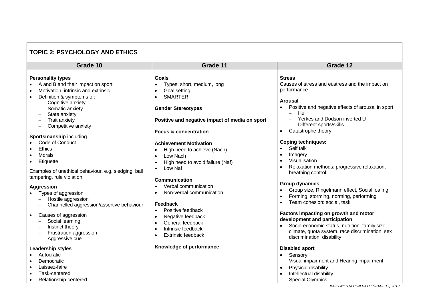| <b>TOPIC 2: PSYCHOLOGY AND ETHICS</b>                                                                                                                                                                                                                                                                                                                                                                                                                                                                                                                                                                                                                                                                                                                                                                                                |                                                                                                                                                                                                                                                                                                                                                                                                                                                                                                                                                                                                                                                                                   |                                                                                                                                                                                                                                                                                                                                                                                                                                                                                                                                                                                                                                                                                                                                                                                                                                        |  |  |
|--------------------------------------------------------------------------------------------------------------------------------------------------------------------------------------------------------------------------------------------------------------------------------------------------------------------------------------------------------------------------------------------------------------------------------------------------------------------------------------------------------------------------------------------------------------------------------------------------------------------------------------------------------------------------------------------------------------------------------------------------------------------------------------------------------------------------------------|-----------------------------------------------------------------------------------------------------------------------------------------------------------------------------------------------------------------------------------------------------------------------------------------------------------------------------------------------------------------------------------------------------------------------------------------------------------------------------------------------------------------------------------------------------------------------------------------------------------------------------------------------------------------------------------|----------------------------------------------------------------------------------------------------------------------------------------------------------------------------------------------------------------------------------------------------------------------------------------------------------------------------------------------------------------------------------------------------------------------------------------------------------------------------------------------------------------------------------------------------------------------------------------------------------------------------------------------------------------------------------------------------------------------------------------------------------------------------------------------------------------------------------------|--|--|
| Grade 10                                                                                                                                                                                                                                                                                                                                                                                                                                                                                                                                                                                                                                                                                                                                                                                                                             | Grade 11                                                                                                                                                                                                                                                                                                                                                                                                                                                                                                                                                                                                                                                                          | Grade 12                                                                                                                                                                                                                                                                                                                                                                                                                                                                                                                                                                                                                                                                                                                                                                                                                               |  |  |
| <b>Personality types</b><br>A and B and their impact on sport<br>Motivation: intrinsic and extrinsic<br>$\bullet$<br>Definition & symptoms of:<br>$\bullet$<br>Cognitive anxiety<br>Somatic anxiety<br>State anxiety<br>$\overline{\phantom{a}}$<br><b>Trait anxiety</b><br>$\qquad \qquad -$<br>Competitive anxiety<br>$\overline{\phantom{0}}$<br>Sportsmanship including<br>Code of Conduct<br>$\bullet$<br><b>Ethics</b><br>$\bullet$<br>Morals<br>Etiquette<br>$\bullet$<br>Examples of unethical behaviour, e.g. sledging, ball<br>tampering, rule violation<br><b>Aggression</b><br>Types of aggression<br>Hostile aggression<br>Channelled aggression/assertive behaviour<br>Causes of aggression<br>$\bullet$<br>Social learning<br>Instinct theory<br>Frustration aggression<br>Aggressive cue<br>$\overline{\phantom{0}}$ | Goals<br>Types: short, medium, long<br>Goal setting<br>$\bullet$<br><b>SMARTER</b><br>$\bullet$<br><b>Gender Stereotypes</b><br>Positive and negative impact of media on sport<br><b>Focus &amp; concentration</b><br><b>Achievement Motivation</b><br>High need to achieve (Nach)<br>$\bullet$<br>Low Nach<br>$\bullet$<br>High need to avoid failure (Naf)<br>$\bullet$<br>Low Naf<br>$\bullet$<br>Communication<br>Verbal communication<br>Non-verbal communication<br>$\bullet$<br>Feedback<br>Positive feedback<br>$\bullet$<br>Negative feedback<br>$\bullet$<br>General feedback<br>$\bullet$<br>Intrinsic feedback<br>$\bullet$<br><b>Extrinsic feedback</b><br>$\bullet$ | <b>Stress</b><br>Causes of stress and eustress and the impact on<br>performance<br><b>Arousal</b><br>Positive and negative effects of arousal in sport<br>Hull<br>$\equiv$<br>Yerkes and Dodson inverted U<br>Different sports/skills<br>Catastrophe theory<br>$\bullet$<br><b>Coping techniques:</b><br>Self talk<br>Imagery<br>$\bullet$<br>Visualisation<br>$\bullet$<br>Relaxation methods: progressive relaxation,<br>breathing control<br><b>Group dynamics</b><br>Group size, Ringelmann effect, Social loafing<br>Forming, storming, norming, performing<br>$\bullet$<br>Team cohesion: social, task<br>$\bullet$<br>Factors impacting on growth and motor<br>development and participation<br>Socio-economic status, nutrition, family size,<br>climate, quota system, race discrimination, sex<br>discrimination, disability |  |  |
| Leadership styles<br>Autocratic<br>Democratic<br>Laissez-faire<br>$\bullet$<br>Task-centered<br>$\bullet$<br>Relationship-centered<br>$\bullet$                                                                                                                                                                                                                                                                                                                                                                                                                                                                                                                                                                                                                                                                                      | Knowledge of performance                                                                                                                                                                                                                                                                                                                                                                                                                                                                                                                                                                                                                                                          | <b>Disabled sport</b><br>Sensory:<br>$\bullet$<br>Visual impairment and Hearing impairment<br>Physical disability<br>$\bullet$<br>Intellectual disability<br><b>Special Olympics</b>                                                                                                                                                                                                                                                                                                                                                                                                                                                                                                                                                                                                                                                   |  |  |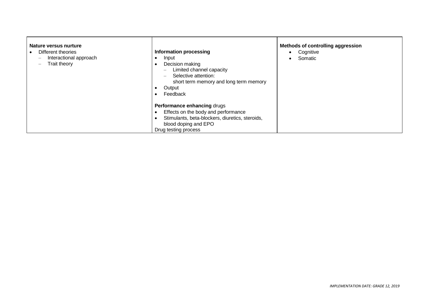| Nature versus nurture<br>Different theories<br>Interactional approach<br>$\overline{\phantom{0}}$<br>Trait theory | <b>Information processing</b><br>Input<br>Decision making<br>$\bullet$<br>Limited channel capacity<br>$\qquad \qquad -$<br>Selective attention:<br>$\qquad \qquad =$<br>short term memory and long term memory<br>Output<br>٠<br>Feedback<br>$\bullet$<br>Performance enhancing drugs | <b>Methods of controlling aggression</b><br>Cognitive<br>Somatic |
|-------------------------------------------------------------------------------------------------------------------|---------------------------------------------------------------------------------------------------------------------------------------------------------------------------------------------------------------------------------------------------------------------------------------|------------------------------------------------------------------|
|                                                                                                                   | Effects on the body and performance<br>Stimulants, beta-blockers, diuretics, steroids,<br>blood doping and EPO<br>Drug testing process                                                                                                                                                |                                                                  |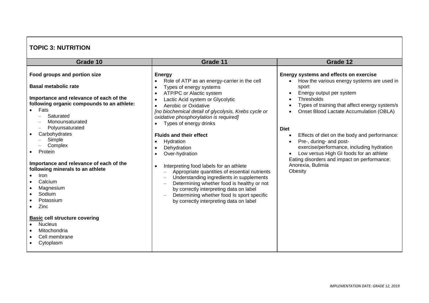## **TOPIC 3: NUTRITION**

| Grade 10                                                                                                                                                                                                                                                                                                                                                                                                                                                                                                               | Grade 11                                                                                                                                                                                                                                                                                                                                                                                                                                                                                                                                                                                                                                                                                                                                                                                                                                                   | Grade 12                                                                                                                                                                                                                                                                                                                                                                                                                                                                                                               |
|------------------------------------------------------------------------------------------------------------------------------------------------------------------------------------------------------------------------------------------------------------------------------------------------------------------------------------------------------------------------------------------------------------------------------------------------------------------------------------------------------------------------|------------------------------------------------------------------------------------------------------------------------------------------------------------------------------------------------------------------------------------------------------------------------------------------------------------------------------------------------------------------------------------------------------------------------------------------------------------------------------------------------------------------------------------------------------------------------------------------------------------------------------------------------------------------------------------------------------------------------------------------------------------------------------------------------------------------------------------------------------------|------------------------------------------------------------------------------------------------------------------------------------------------------------------------------------------------------------------------------------------------------------------------------------------------------------------------------------------------------------------------------------------------------------------------------------------------------------------------------------------------------------------------|
| Food groups and portion size<br><b>Basal metabolic rate</b><br>Importance and relevance of each of the<br>following organic compounds to an athlete:<br>Fats<br>Saturated<br>Monounsaturated<br>Polyunsaturated<br>Carbohydrates<br>Simple<br>Complex<br>Protein<br>Importance and relevance of each of the<br>following minerals to an athlete<br>Iron<br>Calcium<br>Magnesium<br>Sodium<br>Potassium<br>Zinc<br><b>Basic cell structure covering</b><br><b>Nucleus</b><br>Mitochondria<br>Cell membrane<br>Cytoplasm | <b>Energy</b><br>Role of ATP as an energy-carrier in the cell<br>Types of energy systems<br>$\bullet$<br>ATP/PC or Alactic system<br>$\bullet$<br>Lactic Acid system or Glycolytic<br>$\bullet$<br>Aerobic or Oxidative<br>$\bullet$<br>[no biochemical detail of glycolysis, Krebs cycle or<br>oxidative phosphorylation is required]<br>Types of energy drinks<br><b>Fluids and their effect</b><br>Hydration<br>$\bullet$<br>Dehydration<br>$\bullet$<br>Over-hydration<br>$\bullet$<br>Interpreting food labels for an athlete<br>$\bullet$<br>Appropriate quantities of essential nutrients<br>$\overline{\phantom{m}}$<br>Understanding ingredients in supplements<br>Determining whether food is healthy or not<br>by correctly interpreting data on label<br>Determining whether food Is sport specific<br>by correctly interpreting data on label | Energy systems and effects on exercise<br>How the various energy systems are used in<br>$\bullet$<br>sport<br>Energy output per system<br>Thresholds<br>Types of training that affect energy system/s<br>Onset Blood Lactate Accumulation (OBLA)<br><b>Diet</b><br>Effects of diet on the body and performance:<br>٠<br>Pre-, during- and post-<br>exercise/performance, including hydration<br>Low versus High GI foods for an athlete<br>Eating disorders and impact on performance:<br>Anorexia, Bulimia<br>Obesity |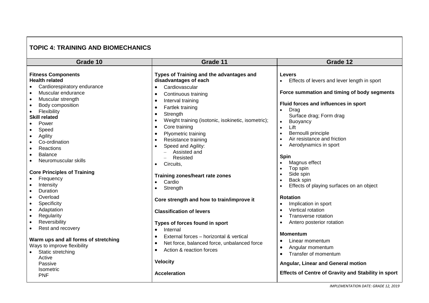## **TOPIC 4: TRAINING AND BIOMECHANICS**

| Grade 10                                                                                                                                                                                                                                                                                                                  | Grade 11                                                                                                                                                                                                                                                                                                                                                                                     | Grade 12                                                                                                                                                                                                                                                                                                             |  |  |  |
|---------------------------------------------------------------------------------------------------------------------------------------------------------------------------------------------------------------------------------------------------------------------------------------------------------------------------|----------------------------------------------------------------------------------------------------------------------------------------------------------------------------------------------------------------------------------------------------------------------------------------------------------------------------------------------------------------------------------------------|----------------------------------------------------------------------------------------------------------------------------------------------------------------------------------------------------------------------------------------------------------------------------------------------------------------------|--|--|--|
| <b>Fitness Components</b><br><b>Health related</b><br>Cardiorespiratory endurance<br>Muscular endurance<br>$\bullet$<br>Muscular strength<br>$\bullet$<br>Body composition<br>$\bullet$<br>Flexibility<br>$\bullet$<br><b>Skill related</b><br>Power<br>Speed<br>$\bullet$<br>Agility<br>٠<br>Co-ordination               | Types of Training and the advantages and<br>disadvantages of each<br>Cardiovascular<br>$\bullet$<br>Continuous training<br>$\bullet$<br>Interval training<br>$\bullet$<br>Fartlek training<br>$\bullet$<br>Strength<br>$\bullet$<br>Weight training (isotonic, isokinetic, isometric);<br>$\bullet$<br>Core training<br>$\bullet$<br>Plyometric training<br>$\bullet$<br>Resistance training | <b>Levers</b><br>Effects of levers and lever length in sport<br>Force summation and timing of body segments<br>Fluid forces and influences in sport<br>Drag<br>$\bullet$<br>Surface drag; Form drag<br>Buoyancy<br>$\bullet$<br>Lift<br>$\bullet$<br>Bernoulli principle<br>Air resistance and friction<br>$\bullet$ |  |  |  |
| Reactions<br><b>Balance</b><br>$\bullet$<br>Neuromuscular skills<br><b>Core Principles of Training</b><br>Frequency<br>Intensity<br><b>Duration</b>                                                                                                                                                                       | Speed and Agility:<br>Assisted and<br>$\equiv$<br>Resisted<br>Circuits,<br>$\bullet$<br>Training zones/heart rate zones<br>Cardio<br>Strength<br>$\bullet$                                                                                                                                                                                                                                   | Aerodynamics in sport<br>$\bullet$<br><b>Spin</b><br>Magnus effect<br>$\bullet$<br>Top spin<br>Side spin<br>$\bullet$<br>Back spin<br>$\bullet$<br>Effects of playing surfaces on an object                                                                                                                          |  |  |  |
| Overload<br>$\bullet$<br>Specificity<br>$\bullet$<br>Adaptation<br>$\bullet$<br>Regularity<br>$\bullet$<br>Reversibility<br>$\bullet$<br>Rest and recovery<br>$\bullet$<br>Warm ups and all forms of stretching<br>Ways to improve flexibility<br>Static stretching<br>$\bullet$<br>Active<br>Passive<br><b>Isometric</b> | Core strength and how to train/improve it<br><b>Classification of levers</b><br>Types of forces found in sport<br>Internal<br>External forces - horizontal & vertical<br>$\bullet$<br>Net force, balanced force, unbalanced force<br>$\bullet$<br>Action & reaction forces<br>$\bullet$<br><b>Velocity</b>                                                                                   | <b>Rotation</b><br>Implication in sport<br>Vertical rotation<br>Transverse rotation<br>$\bullet$<br>Antero posterior rotation<br>$\bullet$<br><b>Momentum</b><br>Linear momentum<br>$\bullet$<br>Angular momentum<br>$\bullet$<br>Transfer of momentum<br>$\bullet$<br>Angular, Linear and General motion            |  |  |  |
| <b>PNF</b>                                                                                                                                                                                                                                                                                                                | Acceleration                                                                                                                                                                                                                                                                                                                                                                                 | <b>Effects of Centre of Gravity and Stability in sport</b>                                                                                                                                                                                                                                                           |  |  |  |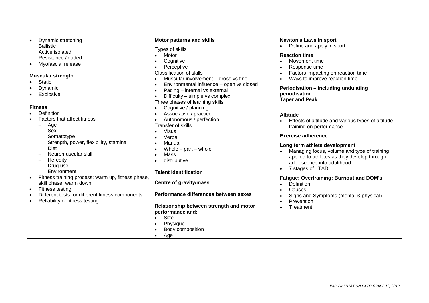| Dynamic stretching                                | <b>Motor patterns and skills</b>                      | <b>Newton's Laws in sport</b>                     |
|---------------------------------------------------|-------------------------------------------------------|---------------------------------------------------|
| <b>Ballistic</b>                                  | Types of skills                                       | Define and apply in sport                         |
| Active isolated                                   | Motor                                                 | <b>Reaction time</b>                              |
| Resistance /loaded                                | Cognitive                                             | Movement time                                     |
| Myofascial release<br>$\bullet$                   |                                                       |                                                   |
|                                                   | Perceptive<br>$\bullet$                               | Response time                                     |
| <b>Muscular strength</b>                          | <b>Classification of skills</b>                       | Factors impacting on reaction time                |
| <b>Static</b>                                     | Muscular involvement $-$ gross vs fine<br>$\bullet$   | Ways to improve reaction time                     |
|                                                   | Environmental influence - open vs closed<br>$\bullet$ | Periodisation - including undulating              |
| Dynamic                                           | Pacing - internal vs external<br>$\bullet$            |                                                   |
| Explosive                                         | Difficulty – simple vs complex                        | periodisation                                     |
|                                                   | Three phases of learning skills                       | <b>Taper and Peak</b>                             |
| <b>Fitness</b>                                    | Cognitive / planning                                  |                                                   |
| Definition                                        | Associative / practice<br>$\bullet$                   | <b>Altitude</b>                                   |
| Factors that affect fitness                       | Autonomous / perfection<br>$\bullet$                  | Effects of altitude and various types of altitude |
| Age                                               | Transfer of skills                                    |                                                   |
| Sex                                               | Visual<br>$\bullet$                                   | training on performance                           |
| Somatotype                                        | Verbal                                                | <b>Exercise adherence</b>                         |
|                                                   | $\bullet$                                             |                                                   |
| Strength, power, flexibility, stamina             | Manual<br>$\bullet$                                   | Long term athlete development                     |
| Diet                                              | Whole $-$ part $-$ whole<br>$\bullet$                 | Managing focus, volume and type of training       |
| Neuromuscular skill                               | Mass<br>$\bullet$                                     | applied to athletes as they develop through       |
| Heredity                                          | distributive                                          | adolescence into adulthood.                       |
| Drug use                                          |                                                       | 7 stages of LTAD                                  |
| Environment                                       | <b>Talent identification</b>                          |                                                   |
| Fitness training process: warm up, fitness phase, |                                                       | Fatigue; Overtraining; Burnout and DOM's          |
| skill phase, warm down                            | <b>Centre of gravity/mass</b>                         | <b>Definition</b>                                 |
| Fitness testing<br>$\bullet$                      |                                                       | Causes                                            |
| Different tests for different fitness components  | Performance differences between sexes                 | Signs and Symptoms (mental & physical)            |
| Reliability of fitness testing                    |                                                       | Prevention                                        |
|                                                   | Relationship between strength and motor               | Treatment                                         |
|                                                   | performance and:                                      |                                                   |
|                                                   | Size                                                  |                                                   |
|                                                   |                                                       |                                                   |
|                                                   | Physique<br>$\bullet$                                 |                                                   |
|                                                   | Body composition                                      |                                                   |
|                                                   | Age<br>$\bullet$                                      |                                                   |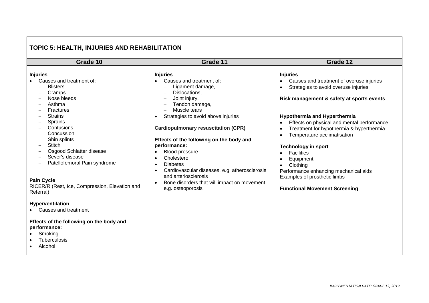## **TOPIC 5: HEALTH, INJURIES AND REHABILITATION**

| Grade 10                                                                                                                                                                                                                                                                                                                                                                                                                                                                                                                                       | Grade 11                                                                                                                                                                                                                                                                                                                                                                                                                                                                                                                                                              | Grade 12                                                                                                                                                                                                                                                                                                                                                                                                                                                                                                                   |  |  |
|------------------------------------------------------------------------------------------------------------------------------------------------------------------------------------------------------------------------------------------------------------------------------------------------------------------------------------------------------------------------------------------------------------------------------------------------------------------------------------------------------------------------------------------------|-----------------------------------------------------------------------------------------------------------------------------------------------------------------------------------------------------------------------------------------------------------------------------------------------------------------------------------------------------------------------------------------------------------------------------------------------------------------------------------------------------------------------------------------------------------------------|----------------------------------------------------------------------------------------------------------------------------------------------------------------------------------------------------------------------------------------------------------------------------------------------------------------------------------------------------------------------------------------------------------------------------------------------------------------------------------------------------------------------------|--|--|
|                                                                                                                                                                                                                                                                                                                                                                                                                                                                                                                                                |                                                                                                                                                                                                                                                                                                                                                                                                                                                                                                                                                                       |                                                                                                                                                                                                                                                                                                                                                                                                                                                                                                                            |  |  |
| <b>Injuries</b><br>Causes and treatment of:<br><b>Blisters</b><br>Cramps<br>Nose bleeds<br>Asthma<br><b>Fractures</b><br><b>Strains</b><br><b>Sprains</b><br>Contusions<br>Concussion<br>Shin splints<br><b>Stitch</b><br>Osgood Schlatter disease<br>Sever's disease<br>Patellofemoral Pain syndrome<br><b>Pain Cycle</b><br>RICER/R (Rest, Ice, Compression, Elevation and<br>Referral)<br>Hyperventilation<br>Causes and treatment<br>Effects of the following on the body and<br>performance:<br>Smoking<br><b>Tuberculosis</b><br>Alcohol | <b>Injuries</b><br>Causes and treatment of:<br>$\bullet$<br>Ligament damage,<br>Dislocations,<br>$\overline{\phantom{a}}$<br>Joint injury,<br>Tendon damage,<br>Muscle tears<br>Strategies to avoid above injuries<br>$\bullet$<br><b>Cardiopulmonary resuscitation (CPR)</b><br>Effects of the following on the body and<br>performance:<br>Blood pressure<br>$\bullet$<br>Cholesterol<br>$\bullet$<br><b>Diabetes</b><br>Cardiovascular diseases, e.g. atherosclerosis<br>and arteriosclerosis<br>Bone disorders that will impact on movement,<br>e.g. osteoporosis | <b>Injuries</b><br>Causes and treatment of overuse injuries<br>Strategies to avoid overuse injuries<br>Risk management & safety at sports events<br><b>Hypothermia and Hyperthermia</b><br>Effects on physical and mental performance<br>Treatment for hypothermia & hyperthermia<br>Temperature acclimatisation<br><b>Technology in sport</b><br><b>Facilities</b><br>$\bullet$<br>Equipment<br>Clothing<br>Performance enhancing mechanical aids<br>Examples of prosthetic limbs<br><b>Functional Movement Screening</b> |  |  |
|                                                                                                                                                                                                                                                                                                                                                                                                                                                                                                                                                |                                                                                                                                                                                                                                                                                                                                                                                                                                                                                                                                                                       |                                                                                                                                                                                                                                                                                                                                                                                                                                                                                                                            |  |  |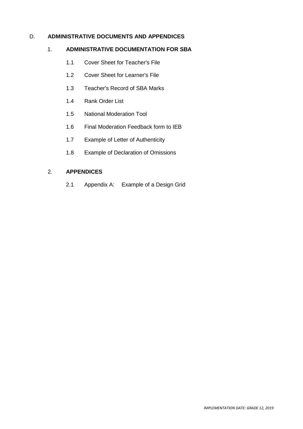## D. **ADMINISTRATIVE DOCUMENTS AND APPENDICES**

#### 1. **ADMINISTRATIVE DOCUMENTATION FOR SBA**

- 1.1 Cover Sheet for Teacher's File
- 1.2 Cover Sheet for Learner's File
- 1.3 Teacher's Record of SBA Marks
- 1.4 Rank Order List
- 1.5 National Moderation Tool
- 1.6 Final Moderation Feedback form to IEB
- 1.7 Example of Letter of Authenticity
- 1.8 Example of Declaration of Omissions

#### 2. **APPENDICES**

2.1 Appendix A: Example of a Design Grid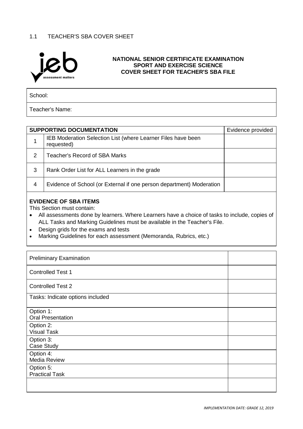## 1.1 TEACHER'S SBA COVER SHEET



#### **NATIONAL SENIOR CERTIFICATE EXAMINATION SPORT AND EXERCISE SCIENCE COVER SHEET FOR TEACHER'S SBA FILE**

School:

Teacher's Name:

|   | <b>SUPPORTING DOCUMENTATION</b>                                            | Evidence provided |
|---|----------------------------------------------------------------------------|-------------------|
|   | IEB Moderation Selection List (where Learner Files have been<br>requested) |                   |
| 2 | Teacher's Record of SBA Marks                                              |                   |
| 3 | Rank Order List for ALL Learners in the grade                              |                   |
| 4 | Evidence of School (or External if one person department) Moderation       |                   |
|   | <b>EVIDENCE OF SBA ITEMS</b><br>This Section must contain:                 |                   |

- All assessments done by learners. Where Learners have a choice of tasks to include, copies of ALL Tasks and Marking Guidelines must be available in the Teacher's File.
- Design grids for the exams and tests
- Marking Guidelines for each assessment (Memoranda, Rubrics, etc.)

| <b>Preliminary Examination</b>        |  |
|---------------------------------------|--|
| <b>Controlled Test 1</b>              |  |
| <b>Controlled Test 2</b>              |  |
| Tasks: Indicate options included      |  |
| Option 1:<br><b>Oral Presentation</b> |  |
| Option 2:<br><b>Visual Task</b>       |  |
| Option 3:<br>Case Study               |  |
| Option 4:<br><b>Media Review</b>      |  |
| Option 5:<br><b>Practical Task</b>    |  |
|                                       |  |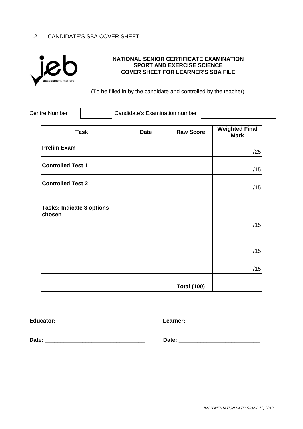## 1.2 CANDIDATE'S SBA COVER SHEET



## **NATIONAL SENIOR CERTIFICATE EXAMINATION SPORT AND EXERCISE SCIENCE COVER SHEET FOR LEARNER'S SBA FILE**

(To be filled in by the candidate and controlled by the teacher)

| <b>Centre Number</b> | Candidate's Examination number |  |
|----------------------|--------------------------------|--|
|----------------------|--------------------------------|--|

| <b>Task</b>                                | <b>Date</b> | <b>Raw Score</b>   | <b>Weighted Final</b><br><b>Mark</b> |
|--------------------------------------------|-------------|--------------------|--------------------------------------|
| <b>Prelim Exam</b>                         |             |                    | /25                                  |
| <b>Controlled Test 1</b>                   |             |                    | /15                                  |
| <b>Controlled Test 2</b>                   |             |                    | /15                                  |
|                                            |             |                    |                                      |
| <b>Tasks: Indicate 3 options</b><br>chosen |             |                    |                                      |
|                                            |             |                    | /15                                  |
|                                            |             |                    |                                      |
|                                            |             |                    | /15                                  |
|                                            |             |                    | /15                                  |
|                                            |             | <b>Total (100)</b> |                                      |

**Educator: \_\_\_\_\_\_\_\_\_\_\_\_\_\_\_\_\_\_\_\_\_\_\_\_\_\_\_\_ Learner: \_\_\_\_\_\_\_\_\_\_\_\_\_\_\_\_\_\_\_\_\_\_\_**

**Date: \_\_\_\_\_\_\_\_\_\_\_\_\_\_\_\_\_\_\_\_\_\_\_\_\_\_\_\_\_\_\_\_ Date: \_\_\_\_\_\_\_\_\_\_\_\_\_\_\_\_\_\_\_\_\_\_\_\_\_\_**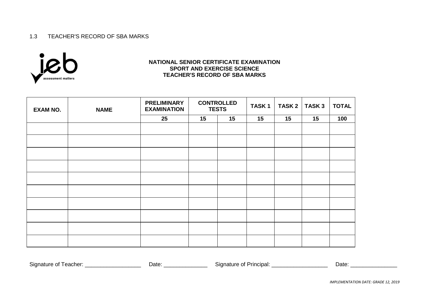#### 1.3 TEACHER'S RECORD OF SBA MARKS



#### **NATIONAL SENIOR CERTIFICATE EXAMINATION SPORT AND EXERCISE SCIENCE TEACHER'S RECORD OF SBA MARKS**

| <b>EXAM NO.</b> | <b>NAME</b> | <b>PRELIMINARY</b><br><b>EXAMINATION</b> | <b>CONTROLLED</b><br><b>TESTS</b> |    | TASK <sub>1</sub> | <b>TASK 2</b> | <b>TASK3</b> | <b>TOTAL</b> |
|-----------------|-------------|------------------------------------------|-----------------------------------|----|-------------------|---------------|--------------|--------------|
|                 |             | 25                                       | 15                                | 15 | 15                | 15            | 15           | 100          |
|                 |             |                                          |                                   |    |                   |               |              |              |
|                 |             |                                          |                                   |    |                   |               |              |              |
|                 |             |                                          |                                   |    |                   |               |              |              |
|                 |             |                                          |                                   |    |                   |               |              |              |
|                 |             |                                          |                                   |    |                   |               |              |              |
|                 |             |                                          |                                   |    |                   |               |              |              |
|                 |             |                                          |                                   |    |                   |               |              |              |
|                 |             |                                          |                                   |    |                   |               |              |              |
|                 |             |                                          |                                   |    |                   |               |              |              |
|                 |             |                                          |                                   |    |                   |               |              |              |

Signature of Teacher: \_\_\_\_\_\_\_\_\_\_\_\_\_\_\_\_\_\_ Date: \_\_\_\_\_\_\_\_\_\_\_\_\_\_ Signature of Principal: \_\_\_\_\_\_\_\_\_\_\_\_\_\_\_\_\_\_ Date: \_\_\_\_\_\_\_\_\_\_\_\_\_\_\_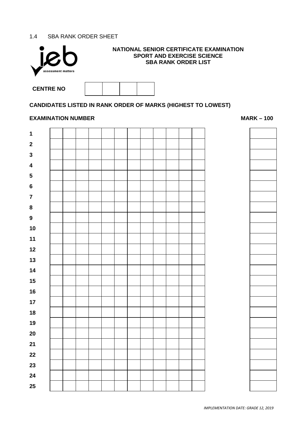## 1.4 SBA RANK ORDER SHEET



## **NATIONAL SENIOR CERTIFICATE EXAMINATION SPORT AND EXERCISE SCIENCE SBA RANK ORDER LIST**

| <b>CENTRE NO</b> |  |  |
|------------------|--|--|

## **CANDIDATES LISTED IN RANK ORDER OF MARKS (HIGHEST TO LOWEST)**

#### **EXAMINATION NUMBER MARK –** 100



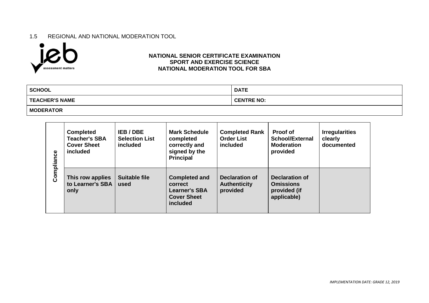#### 1.5 REGIONAL AND NATIONAL MODERATION TOOL



#### **NATIONAL SENIOR CERTIFICATE EXAMINATION SPORT AND EXERCISE SCIENCE NATIONAL MODERATION TOOL FOR SBA**

| <b>SCHOOL</b>         | <b>DATE</b>       |
|-----------------------|-------------------|
| <b>TEACHER'S NAME</b> | <b>CENTRE NO:</b> |
| <b>MODERATOR</b>      |                   |

| Compliance | <b>Completed</b><br><b>Teacher's SBA</b><br><b>Cover Sheet</b><br>included | IEB / DBE<br><b>Selection List</b><br>included | <b>Mark Schedule</b><br>completed<br>correctly and<br>signed by the<br><b>Principal</b>   | <b>Completed Rank</b><br><b>Order List</b><br>included | <b>Proof of</b><br>School/External<br><b>Moderation</b><br>provided | <b>Irregularities</b><br>clearly<br>documented |
|------------|----------------------------------------------------------------------------|------------------------------------------------|-------------------------------------------------------------------------------------------|--------------------------------------------------------|---------------------------------------------------------------------|------------------------------------------------|
|            | This row applies<br>to Learner's SBA<br>only                               | <b>Suitable file</b><br>used                   | <b>Completed and</b><br>correct<br><b>Learner's SBA</b><br><b>Cover Sheet</b><br>included | Declaration of<br><b>Authenticity</b><br>provided      | Declaration of<br><b>Omissions</b><br>provided (if<br>applicable)   |                                                |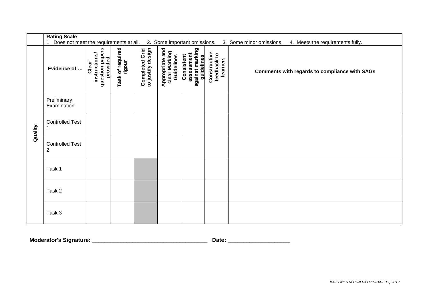|         | <b>Rating Scale</b>                       |                                                       |                            |                                     |                                                |                                                           |                                         |                                                              |
|---------|-------------------------------------------|-------------------------------------------------------|----------------------------|-------------------------------------|------------------------------------------------|-----------------------------------------------------------|-----------------------------------------|--------------------------------------------------------------|
|         | 1. Does not meet the requirements at all. |                                                       |                            |                                     |                                                | 2. Some important omissions.                              |                                         | 3. Some minor omissions.<br>4. Meets the requirements fully. |
| Quality | Evidence of                               | question papers<br>provided<br>instructions/<br>Clear | Task of required<br>rigour | Completed Grid<br>to justify design | Appropriate and<br>clear Marking<br>Guidelines | assessment<br>against marking<br>Consistent<br>guidelines | Constructive<br>feedback to<br>learners | <b>Comments with regards to compliance with SAGs</b>         |
|         | Preliminary<br>Examination                |                                                       |                            |                                     |                                                |                                                           |                                         |                                                              |
|         | <b>Controlled Test</b>                    |                                                       |                            |                                     |                                                |                                                           |                                         |                                                              |
|         | <b>Controlled Test</b><br>$\overline{2}$  |                                                       |                            |                                     |                                                |                                                           |                                         |                                                              |
|         | Task 1                                    |                                                       |                            |                                     |                                                |                                                           |                                         |                                                              |
|         | Task 2                                    |                                                       |                            |                                     |                                                |                                                           |                                         |                                                              |
|         | Task 3                                    |                                                       |                            |                                     |                                                |                                                           |                                         |                                                              |

| <b>Moderator's Signature:</b><br>Jate |  |
|---------------------------------------|--|
|---------------------------------------|--|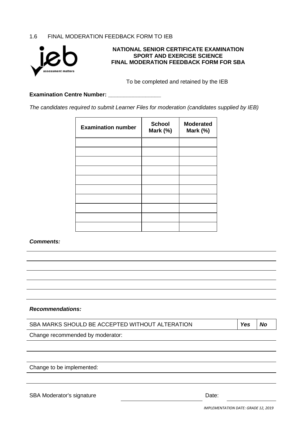## 1.6 FINAL MODERATION FEEDBACK FORM TO IEB



#### **NATIONAL SENIOR CERTIFICATE EXAMINATION SPORT AND EXERCISE SCIENCE FINAL MODERATION FEEDBACK FORM FOR SBA**

To be completed and retained by the IEB

#### **Examination Centre Number: \_\_\_\_\_\_\_\_\_\_\_\_\_\_\_\_\_**

*The candidates required to submit Learner Files for moderation (candidates supplied by IEB)*

| <b>Examination number</b> | <b>School</b><br>Mark (%) | <b>Moderated</b><br>Mark (%) |
|---------------------------|---------------------------|------------------------------|
|                           |                           |                              |
|                           |                           |                              |
|                           |                           |                              |
|                           |                           |                              |
|                           |                           |                              |
|                           |                           |                              |
|                           |                           |                              |
|                           |                           |                              |
|                           |                           |                              |
|                           |                           |                              |

#### *Comments:*

#### *Recommendations:*

| SBA MARKS SHOULD BE ACCEPTED WITHOUT ALTERATION | <b>Yes</b> | <b>No</b> |
|-------------------------------------------------|------------|-----------|
| Change recommended by moderator:                |            |           |
|                                                 |            |           |
|                                                 |            |           |
| Change to be implemented:                       |            |           |
|                                                 |            |           |
| <b>SBA Moderator's signature</b><br>Date:       |            |           |
| IMADI EMENITATIONI DATE: CRADE 12, 2010         |            |           |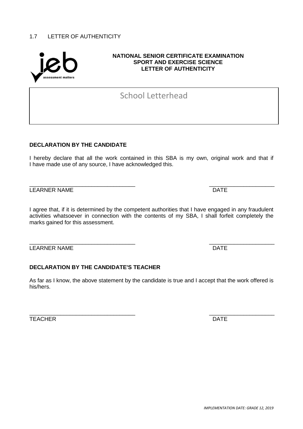## 1.7 LETTER OF AUTHENTICITY

#### **NATIONAL SENIOR CERTIFICATE EXAMINATION SPORT AND EXERCISE SCIENCE LETTER OF AUTHENTICITY**

School Letterhead

## **DECLARATION BY THE CANDIDATE**

I hereby declare that all the work contained in this SBA is my own, original work and that if I have made use of any source, I have acknowledged this.

LEARNER NAME **DATE** 

I agree that, if it is determined by the competent authorities that I have engaged in any fraudulent activities whatsoever in connection with the contents of my SBA, I shall forfeit completely the marks gained for this assessment.

\_\_\_\_\_\_\_\_\_\_\_\_\_\_\_\_\_\_\_\_\_\_\_\_\_\_\_\_\_\_\_\_\_\_ \_\_\_\_\_\_\_\_\_\_\_\_\_\_\_\_\_\_\_\_\_ LEARNER NAME DATE

## **DECLARATION BY THE CANDIDATE'S TEACHER**

As far as I know, the above statement by the candidate is true and I accept that the work offered is his/hers.

TEACHER DATE

\_\_\_\_\_\_\_\_\_\_\_\_\_\_\_\_\_\_\_\_\_\_\_\_\_\_\_\_\_\_\_\_\_\_ \_\_\_\_\_\_\_\_\_\_\_\_\_\_\_\_\_\_\_\_\_

\_\_\_\_\_\_\_\_\_\_\_\_\_\_\_\_\_\_\_\_\_\_\_\_\_\_\_\_\_\_\_\_\_\_ \_\_\_\_\_\_\_\_\_\_\_\_\_\_\_\_\_\_\_\_\_

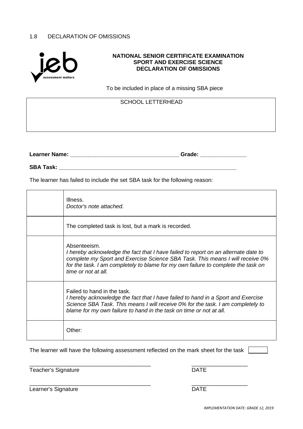## 1.8 DECLARATION OF OMISSIONS



#### **NATIONAL SENIOR CERTIFICATE EXAMINATION SPORT AND EXERCISE SCIENCE DECLARATION OF OMISSIONS**

To be included in place of a missing SBA piece

SCHOOL LETTERHEAD

**Learner Name: \_\_\_\_\_\_\_\_\_\_\_\_\_\_\_\_\_\_\_\_\_\_\_\_\_\_\_\_\_\_\_\_\_\_\_ Grade: \_\_\_\_\_\_\_\_\_\_\_\_\_\_\_**

**SBA Task: \_\_\_\_\_\_\_\_\_\_\_\_\_\_\_\_\_\_\_\_\_\_\_\_\_\_\_\_\_\_\_\_\_\_\_\_\_\_\_\_\_\_\_\_\_\_\_\_\_\_\_\_\_\_\_\_\_**

The learner has failed to include the set SBA task for the following reason:

| Illness.<br>Doctor's note attached.                                                                                                                                                                                                                                                             |
|-------------------------------------------------------------------------------------------------------------------------------------------------------------------------------------------------------------------------------------------------------------------------------------------------|
| The completed task is lost, but a mark is recorded.                                                                                                                                                                                                                                             |
| Absenteeism.<br>I hereby acknowledge the fact that I have failed to report on an alternate date to<br>complete my Sport and Exercise Science SBA Task. This means I will receive 0%<br>for the task. I am completely to blame for my own failure to complete the task on<br>time or not at all. |
| Failed to hand in the task.<br>I hereby acknowledge the fact that I have failed to hand in a Sport and Exercise<br>Science SBA Task. This means I will receive 0% for the task. I am completely to<br>blame for my own failure to hand in the task on time or not at all.                       |
| Other:                                                                                                                                                                                                                                                                                          |

The learner will have the following assessment reflected on the mark sheet for the task [

Teacher's Signature DATE

\_\_\_\_\_\_\_\_\_\_\_\_\_\_\_\_\_\_\_\_\_\_\_\_\_\_\_\_\_\_\_\_\_\_\_\_\_\_\_ \_\_\_\_\_\_\_\_\_\_\_\_\_\_\_\_\_\_

Learner's Signature **DATE** 

\_\_\_\_\_\_\_\_\_\_\_\_\_\_\_\_\_\_\_\_\_\_\_\_\_\_\_\_\_\_\_\_\_\_\_\_\_\_\_ \_\_\_\_\_\_\_\_\_\_\_\_\_\_\_\_\_\_